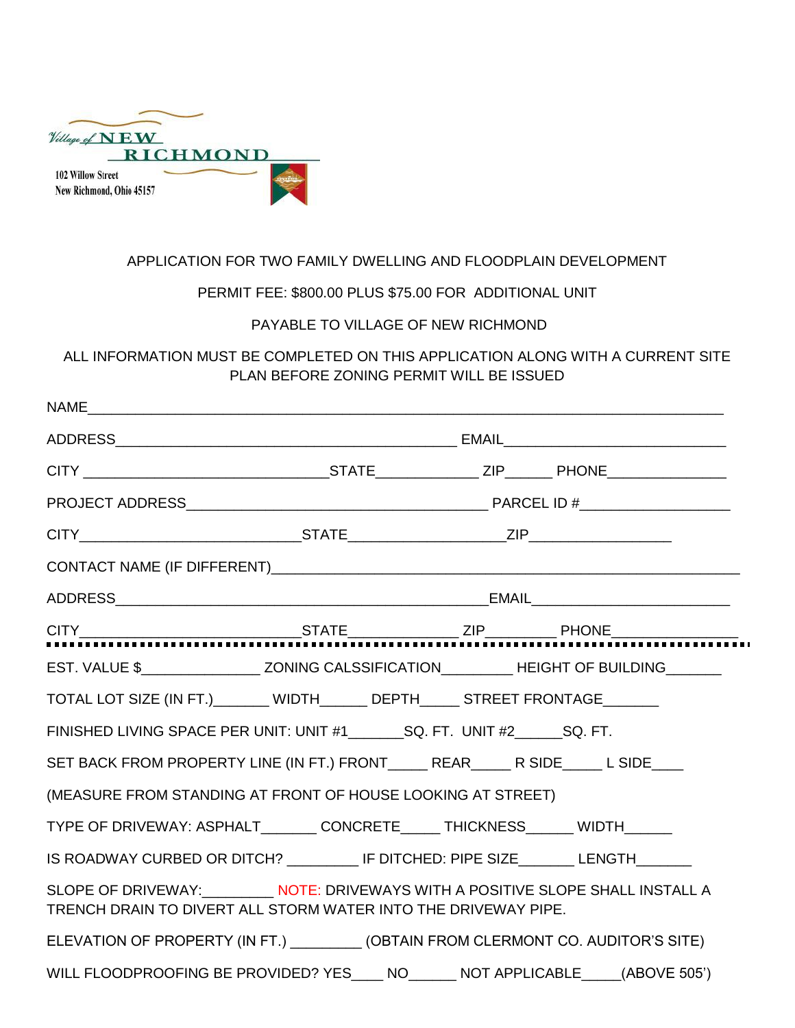| Village of $NEW$         |                 |
|--------------------------|-----------------|
|                          | <b>RICHMOND</b> |
| <b>102 Willow Street</b> |                 |
| New Richmond, Ohio 45157 |                 |

## APPLICATION FOR TWO FAMILY DWELLING AND FLOODPLAIN DEVELOPMENT

## PERMIT FEE: \$800.00 PLUS \$75.00 FOR ADDITIONAL UNIT

## PAYABLE TO VILLAGE OF NEW RICHMOND

ALL INFORMATION MUST BE COMPLETED ON THIS APPLICATION ALONG WITH A CURRENT SITE PLAN BEFORE ZONING PERMIT WILL BE ISSUED

| NAME                                                                                                                                       |  |  |  |  |  |  |
|--------------------------------------------------------------------------------------------------------------------------------------------|--|--|--|--|--|--|
|                                                                                                                                            |  |  |  |  |  |  |
|                                                                                                                                            |  |  |  |  |  |  |
|                                                                                                                                            |  |  |  |  |  |  |
|                                                                                                                                            |  |  |  |  |  |  |
|                                                                                                                                            |  |  |  |  |  |  |
|                                                                                                                                            |  |  |  |  |  |  |
| $CITY$ $STATE$ $ZIP$ $PHONE$ $PHONE$                                                                                                       |  |  |  |  |  |  |
| EST. VALUE \$____________________ZONING CALSSIFICATION___________HEIGHT OF BUILDING________                                                |  |  |  |  |  |  |
| TOTAL LOT SIZE (IN FT.) _______ WIDTH_______ DEPTH______ STREET FRONTAGE_______                                                            |  |  |  |  |  |  |
|                                                                                                                                            |  |  |  |  |  |  |
|                                                                                                                                            |  |  |  |  |  |  |
| (MEASURE FROM STANDING AT FRONT OF HOUSE LOOKING AT STREET)                                                                                |  |  |  |  |  |  |
| TYPE OF DRIVEWAY: ASPHALT_______ CONCRETE_____ THICKNESS______ WIDTH______                                                                 |  |  |  |  |  |  |
| IS ROADWAY CURBED OR DITCH? IF DITCHED: PIPE SIZE LENGTH______                                                                             |  |  |  |  |  |  |
| SLOPE OF DRIVEWAY: NOTE: DRIVEWAYS WITH A POSITIVE SLOPE SHALL INSTALL A<br>TRENCH DRAIN TO DIVERT ALL STORM WATER INTO THE DRIVEWAY PIPE. |  |  |  |  |  |  |
| ELEVATION OF PROPERTY (IN FT.) __________ (OBTAIN FROM CLERMONT CO. AUDITOR'S SITE)                                                        |  |  |  |  |  |  |
| WILL FLOODPROOFING BE PROVIDED? YES ___ NO______ NOT APPLICABLE ____ (ABOVE 505')                                                          |  |  |  |  |  |  |